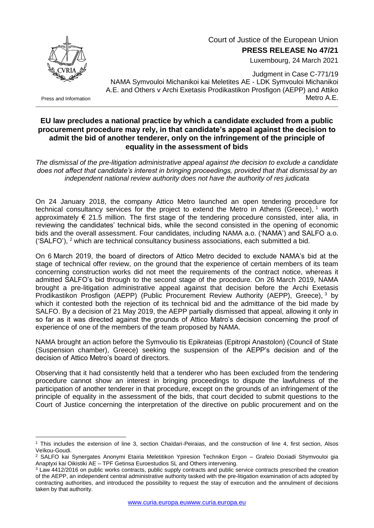

Luxembourg, 24 March 2021



Press and Information

1

Judgment in Case C-771/19 NAMA Symvouloi Michanikoi kai Meletites AE - LDK Symvouloi Michanikoi A.E. and Others v Archi Exetasis Prodikastikon Prosfigon (AEPP) and Attiko Metro A.E.

## **EU law precludes a national practice by which a candidate excluded from a public procurement procedure may rely, in that candidate's appeal against the decision to admit the bid of another tenderer, only on the infringement of the principle of equality in the assessment of bids**

*The dismissal of the pre-litigation administrative appeal against the decision to exclude a candidate does not affect that candidate's interest in bringing proceedings, provided that that dismissal by an independent national review authority does not have the authority of res judicata*

On 24 January 2018, the company Attico Metro launched an open tendering procedure for technical consultancy services for the project to extend the Metro in Athens (Greece), <sup>1</sup> worth approximately  $\epsilon$  21.5 million. The first stage of the tendering procedure consisted, inter alia, in reviewing the candidates' technical bids, while the second consisted in the opening of economic bids and the overall assessment. Four candidates, including NAMA a.o. ('NAMA') and SALFO a.o. ('SALFO'),  $2$  which are technical consultancy business associations, each submitted a bid.

On 6 March 2019, the board of directors of Attico Metro decided to exclude NAMA's bid at the stage of technical offer review, on the ground that the experience of certain members of its team concerning construction works did not meet the requirements of the contract notice, whereas it admitted SALFO's bid through to the second stage of the procedure. On 26 March 2019, NAMA brought a pre-litigation administrative appeal against that decision before the Archi Exetasis Prodikastikon Prosfigon (AEPP) (Public Procurement Review Authority (AEPP), Greece), <sup>3</sup> by which it contested both the rejection of its technical bid and the admittance of the bid made by SALFO. By a decision of 21 May 2019, the AEPP partially dismissed that appeal, allowing it only in so far as it was directed against the grounds of Attico Matro's decision concerning the proof of experience of one of the members of the team proposed by NAMA.

NAMA brought an action before the Symvoulio tis Epikrateias (Epitropi Anastolon) (Council of State (Suspension chamber), Greece) seeking the suspension of the AEPP's decision and of the decision of Attico Metro's board of directors.

Observing that it had consistently held that a tenderer who has been excluded from the tendering procedure cannot show an interest in bringing proceedings to dispute the lawfulness of the participation of another tenderer in that procedure, except on the grounds of an infringement of the principle of equality in the assessment of the bids, that court decided to submit questions to the Court of Justice concerning the interpretation of the directive on public procurement and on the

<sup>1</sup> This includes the extension of line 3, section Chaïdari-Peiraias, and the construction of line 4, first section, Alsos Veïkou-Goudi.

<sup>2</sup> SALFO kai Synergates Anonymi Etairia Meletitikon Ypiresion Technikon Ergon – Grafeio Doxiadi Shymvouloi gia Anaptyxi kai Oikistiki AE – TPF Getinsa Euroestudios SL and Others intervening.

<sup>&</sup>lt;sup>3</sup> Law 4412/2016 on public works contracts, public supply contracts and public service contracts prescribed the creation of the AEPP, an independent central administrative authority tasked with the pre-litigation examination of acts adopted by contracting authorities, and introduced the possibility to request the stay of execution and the annulment of decisions taken by that authority.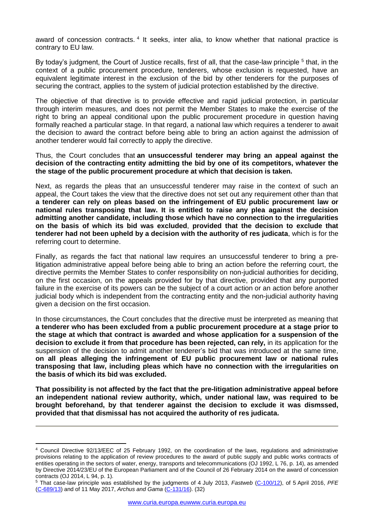award of concession contracts.<sup>4</sup> It seeks, inter alia, to know whether that national practice is contrary to EU law.

By today's judgment, the Court of Justice recalls, first of all, that the case-law principle <sup>5</sup> that, in the context of a public procurement procedure, tenderers, whose exclusion is requested, have an equivalent legitimate interest in the exclusion of the bid by other tenderers for the purposes of securing the contract, applies to the system of judicial protection established by the directive.

The objective of that directive is to provide effective and rapid judicial protection, in particular through interim measures, and does not permit the Member States to make the exercise of the right to bring an appeal conditional upon the public procurement procedure in question having formally reached a particular stage. In that regard, a national law which requires a tenderer to await the decision to award the contract before being able to bring an action against the admission of another tenderer would fail correctly to apply the directive.

Thus, the Court concludes that **an unsuccessful tenderer may bring an appeal against the decision of the contracting entity admitting the bid by one of its competitors, whatever the the stage of the public procurement procedure at which that decision is taken.**

Next, as regards the pleas that an unsuccessful tenderer may raise in the context of such an appeal, the Court takes the view that the directive does not set out any requirement other than that **a tenderer can rely on pleas based on the infringement of EU public procurement law or national rules transposing that law. It is entitled to raise any plea against the decision admitting another candidate, including those which have no connection to the irregularities on the basis of which its bid was excluded**, **provided that the decision to exclude that tenderer had not been upheld by a decision with the authority of res judicata**, which is for the referring court to determine.

Finally, as regards the fact that national law requires an unsuccessful tenderer to bring a prelitigation administrative appeal before being able to bring an action before the referring court, the directive permits the Member States to confer responsibility on non-judicial authorities for deciding, on the first occasion, on the appeals provided for by that directive, provided that any purported failure in the exercise of its powers can be the subject of a court action or an action before another judicial body which is independent from the contracting entity and the non-judicial authority having given a decision on the first occasion.

In those circumstances, the Court concludes that the directive must be interpreted as meaning that **a tenderer who has been excluded from a public procurement procedure at a stage prior to the stage at which that contract is awarded and whose application for a suspension of the decision to exclude it from that procedure has been rejected, can rely,** in its application for the suspension of the decision to admit another tenderer's bid that was introduced at the same time, **on all pleas alleging the infringement of EU public procurement law or national rules transposing that law, including pleas which have no connection with the irregularities on the basis of which its bid was excluded.**

**That possibility is not affected by the fact that the pre-litigation administrative appeal before an independent national review authority, which, under national law, was required to be brought beforehand, by that tenderer against the decision to exclude it was dismssed, provided that that dismissal has not acquired the authority of res judicata.**

1

<sup>4</sup> Council Directive 92/13/EEC of 25 February 1992, on the coordination of the laws, regulations and administrative provisions relating to the application of review procedures to the award of public supply and public works contracts of entities operating in the sectors of water, energy, transports and telecommunications (OJ 1992, L 76, p. 14), as amended by Directive 2014/23/EU of the European Parliament and of the Council of 26 February 2014 on the award of concession contracts (OJ 2014, L 94, p. 1).

<sup>5</sup> That case-law principle was established by the judgments of 4 July 2013, *Fastweb* [\(C-100/12\)](http://curia.europa.eu/juris/documents.jsf?num=C-100/12), of 5 April 2016, *PFE* [\(C-689/13\)](http://curia.europa.eu/juris/documents.jsf?num=C-689/13) and of 11 May 2017, *Archus and Gama* [\(C-131/16\)](http://curia.europa.eu/juris/documents.jsf?num=C-131/16). (32)